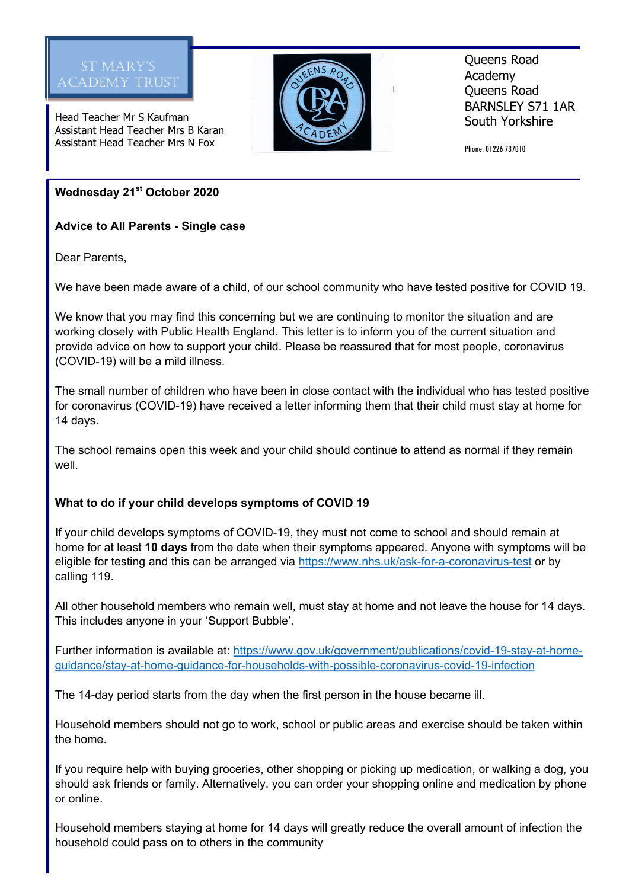

Head Teacher Mr S Kaufman Assistant Head Teacher Mrs B Karan Assistant Head Teacher Mrs N Fox



Queens Road Academy Queens Road BARNSLEY S71 1AR South Yorkshire

Phone: 01226 737010

**Wednesday 21st October 2020**

**Advice to All Parents - Single case**

Dear Parents,

We have been made aware of a child, of our school community who have tested positive for COVID 19.

We know that you may find this concerning but we are continuing to monitor the situation and are working closely with Public Health England. This letter is to inform you of the current situation and provide advice on how to support your child. Please be reassured that for most people, coronavirus (COVID-19) will be a mild illness.

The small number of children who have been in close contact with the individual who has tested positive for coronavirus (COVID-19) have received a letter informing them that their child must stay at home for 14 days.

The school remains open this week and your child should continue to attend as normal if they remain well.

# **What to do if your child develops symptoms of COVID 19**

If your child develops symptoms of COVID-19, they must not come to school and should remain at home for at least **10 days** from the date when their symptoms appeared. Anyone with symptoms will be eligible for testing and this can be arranged via https://www.nhs.uk/ask-for-a-coronavirus-test or bv calling 119.

All other household members who remain well, must stay at home and not leave the house for 14 days. This includes anyone in your 'Support Bubble'.

Further information is available at: https://www.gov.uk/government/publications/covid-19-stay-at-homeguidance/stay-at-home-guidance-for-households-with-possible-coronavirus-covid-19-infection

The 14-day period starts from the day when the first person in the house became ill.

Household members should not go to work, school or public areas and exercise should be taken within the home.

If you require help with buying groceries, other shopping or picking up medication, or walking a dog, you should ask friends or family. Alternatively, you can order your shopping online and medication by phone or online.

Household members staying at home for 14 days will greatly reduce the overall amount of infection the household could pass on to others in the community